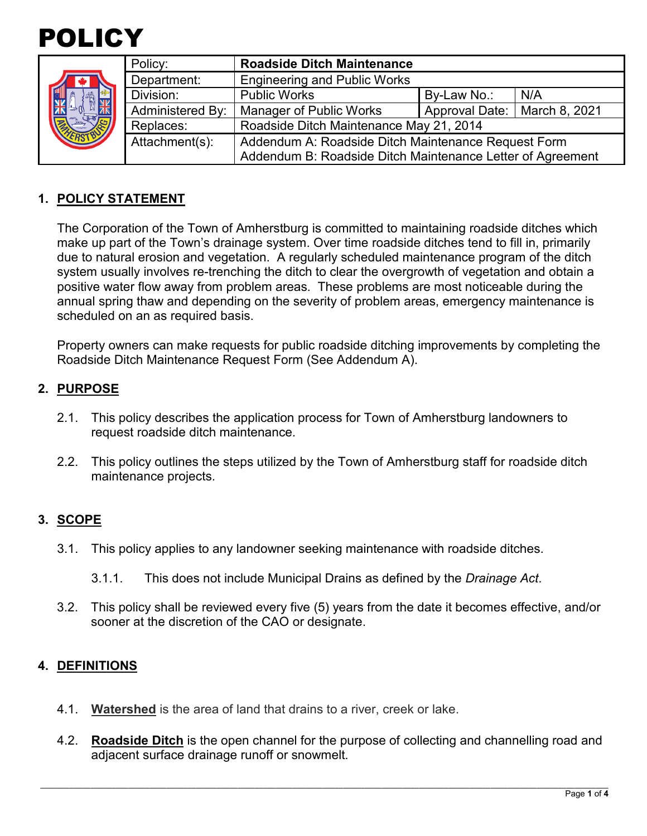

| 确 | Policy:          | <b>Roadside Ditch Maintenance</b>                          |                                |     |
|---|------------------|------------------------------------------------------------|--------------------------------|-----|
|   | Department:      | <b>Engineering and Public Works</b>                        |                                |     |
|   | Division:        | <b>Public Works</b>                                        | By-Law No.:                    | N/A |
|   | Administered By: | <b>Manager of Public Works</b>                             | Approval Date:   March 8, 2021 |     |
|   | Replaces:        | Roadside Ditch Maintenance May 21, 2014                    |                                |     |
|   | Attachment(s):   | Addendum A: Roadside Ditch Maintenance Request Form        |                                |     |
|   |                  | Addendum B: Roadside Ditch Maintenance Letter of Agreement |                                |     |

## **1. POLICY STATEMENT**

 due to natural erosion and vegetation. A regularly scheduled maintenance program of the ditch positive water flow away from problem areas. These problems are most noticeable during the scheduled on an as required basis. The Corporation of the Town of Amherstburg is committed to maintaining roadside ditches which make up part of the Town's drainage system. Over time roadside ditches tend to fill in, primarily system usually involves re-trenching the ditch to clear the overgrowth of vegetation and obtain a annual spring thaw and depending on the severity of problem areas, emergency maintenance is

 Roadside Ditch Maintenance Request Form (See Addendum A). Property owners can make requests for public roadside ditching improvements by completing the

### **2. PURPOSE**

- 2.1. This policy describes the application process for Town of Amherstburg landowners to request roadside ditch maintenance.
- 2.2. This policy outlines the steps utilized by the Town of Amherstburg staff for roadside ditch maintenance projects.

# **3. SCOPE**

- 3.1. This policy applies to any landowner seeking maintenance with roadside ditches.
	- 3.1.1. This does not include Municipal Drains as defined by the *Drainage Act*.
- 3.2. This policy shall be reviewed every five (5) years from the date it becomes effective, and/or sooner at the discretion of the CAO or designate.

#### **4. DEFINITIONS**

- 4.1. **Watershed** is the area of land that drains to a river, creek or lake.
- 4.2. **Roadside Ditch** is the open channel for the purpose of collecting and channelling road and adjacent surface drainage runoff or snowmelt.

\_\_\_\_\_\_\_\_\_\_\_\_\_\_\_\_\_\_\_\_\_\_\_\_\_\_\_\_\_\_\_\_\_\_\_\_\_\_\_\_\_\_\_\_\_\_\_\_\_\_\_\_\_\_\_\_\_\_\_\_\_\_\_\_\_\_\_\_\_\_\_\_\_\_\_\_\_\_\_\_\_\_\_\_\_\_\_\_\_\_\_\_\_\_\_\_\_\_\_\_\_\_\_\_\_\_\_\_\_\_\_\_\_\_\_\_\_\_\_\_\_\_\_\_\_\_\_\_\_\_\_\_\_\_\_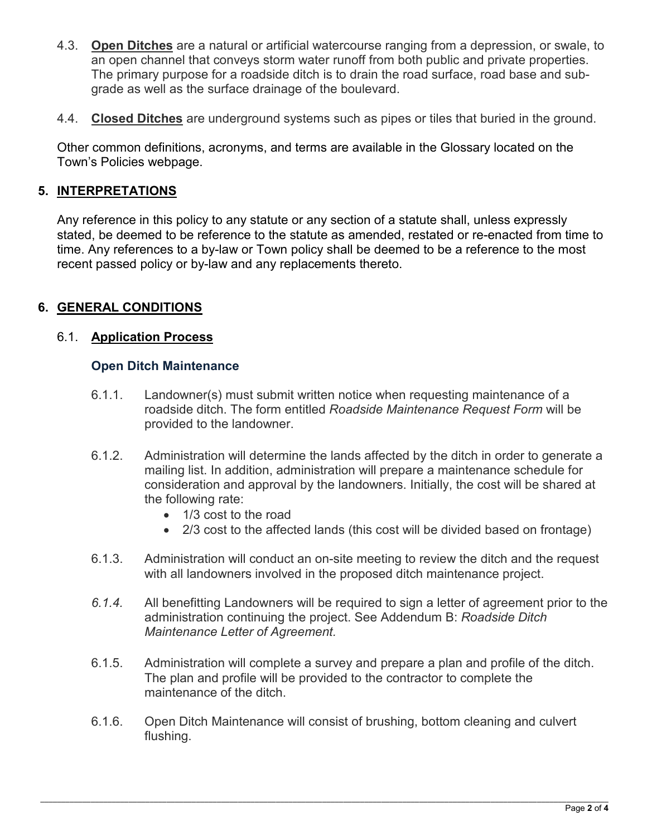- 4.3. **Open Ditches** are a natural or artificial watercourse ranging from a depression, or swale, to an open channel that conveys storm water runoff from both public and private properties. The primary purpose for a roadside ditch is to drain the road surface, road base and subgrade as well as the surface drainage of the boulevard.
- 4.4. **Closed Ditches** are underground systems such as pipes or tiles that buried in the ground.

 Other common definitions, acronyms, and terms are available in the Glossary located on the Town's Policies webpage.

## **5. INTERPRETATIONS**

 Any reference in this policy to any statute or any section of a statute shall, unless expressly stated, be deemed to be reference to the statute as amended, restated or re-enacted from time to time. Any references to a by-law or Town policy shall be deemed to be a reference to the most recent passed policy or by-law and any replacements thereto.

### **6. GENERAL CONDITIONS**

#### 6.1. **Application Process**

#### **Open Ditch Maintenance**

- 6.1.1. Landowner(s) must submit written notice when requesting maintenance of a roadside ditch. The form entitled *Roadside Maintenance Request Form* will be provided to the landowner.
- 6.1.2. Administration will determine the lands affected by the ditch in order to generate a mailing list. In addition, administration will prepare a maintenance schedule for consideration and approval by the landowners. Initially, the cost will be shared at the following rate:
	- 1/3 cost to the road
	- 2/3 cost to the affected lands (this cost will be divided based on frontage)
- 6.1.3. Administration will conduct an on-site meeting to review the ditch and the request with all landowners involved in the proposed ditch maintenance project.
- *6.1.4.* All benefitting Landowners will be required to sign a letter of agreement prior to the administration continuing the project. See Addendum B: *Roadside Ditch Maintenance Letter of Agreement.*
- 6.1.5. Administration will complete a survey and prepare a plan and profile of the ditch. The plan and profile will be provided to the contractor to complete the maintenance of the ditch.
- 6.1.6. Open Ditch Maintenance will consist of brushing, bottom cleaning and culvert flushing.

\_\_\_\_\_\_\_\_\_\_\_\_\_\_\_\_\_\_\_\_\_\_\_\_\_\_\_\_\_\_\_\_\_\_\_\_\_\_\_\_\_\_\_\_\_\_\_\_\_\_\_\_\_\_\_\_\_\_\_\_\_\_\_\_\_\_\_\_\_\_\_\_\_\_\_\_\_\_\_\_\_\_\_\_\_\_\_\_\_\_\_\_\_\_\_\_\_\_\_\_\_\_\_\_\_\_\_\_\_\_\_\_\_\_\_\_\_\_\_\_\_\_\_\_\_\_\_\_\_\_\_\_\_\_\_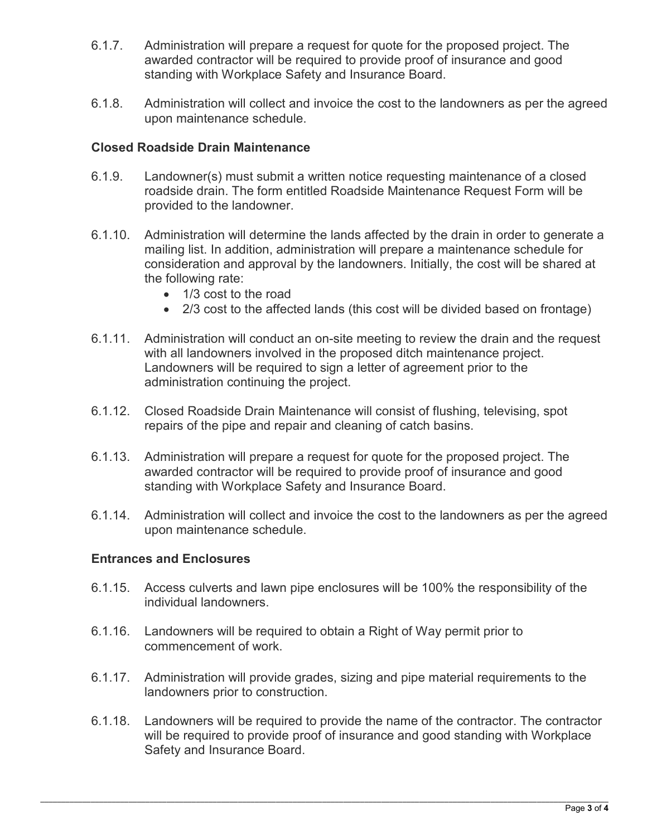- 6.1.7. Administration will prepare a request for quote for the proposed project. The awarded contractor will be required to provide proof of insurance and good standing with Workplace Safety and Insurance Board.
- 6.1.8. Administration will collect and invoice the cost to the landowners as per the agreed upon maintenance schedule.

### **Closed Roadside Drain Maintenance**

- 6.1.9. Landowner(s) must submit a written notice requesting maintenance of a closed roadside drain. The form entitled Roadside Maintenance Request Form will be provided to the landowner.
- 6.1.10. Administration will determine the lands affected by the drain in order to generate a mailing list. In addition, administration will prepare a maintenance schedule for consideration and approval by the landowners. Initially, the cost will be shared at the following rate:
	- 1/3 cost to the road
	- 2/3 cost to the affected lands (this cost will be divided based on frontage)
- 6.1.11. Administration will conduct an on-site meeting to review the drain and the request with all landowners involved in the proposed ditch maintenance project. Landowners will be required to sign a letter of agreement prior to the administration continuing the project.
- 6.1.12. Closed Roadside Drain Maintenance will consist of flushing, televising, spot repairs of the pipe and repair and cleaning of catch basins.
- 6.1.13. Administration will prepare a request for quote for the proposed project. The awarded contractor will be required to provide proof of insurance and good standing with Workplace Safety and Insurance Board.
- 6.1.14. Administration will collect and invoice the cost to the landowners as per the agreed upon maintenance schedule.

#### **Entrances and Enclosures**

- 6.1.15. Access culverts and lawn pipe enclosures will be 100% the responsibility of the individual landowners.
- 6.1.16. Landowners will be required to obtain a Right of Way permit prior to commencement of work.
- 6.1.17. Administration will provide grades, sizing and pipe material requirements to the landowners prior to construction.
- 6.1.18. Landowners will be required to provide the name of the contractor. The contractor will be required to provide proof of insurance and good standing with Workplace Safety and Insurance Board.

\_\_\_\_\_\_\_\_\_\_\_\_\_\_\_\_\_\_\_\_\_\_\_\_\_\_\_\_\_\_\_\_\_\_\_\_\_\_\_\_\_\_\_\_\_\_\_\_\_\_\_\_\_\_\_\_\_\_\_\_\_\_\_\_\_\_\_\_\_\_\_\_\_\_\_\_\_\_\_\_\_\_\_\_\_\_\_\_\_\_\_\_\_\_\_\_\_\_\_\_\_\_\_\_\_\_\_\_\_\_\_\_\_\_\_\_\_\_\_\_\_\_\_\_\_\_\_\_\_\_\_\_\_\_\_